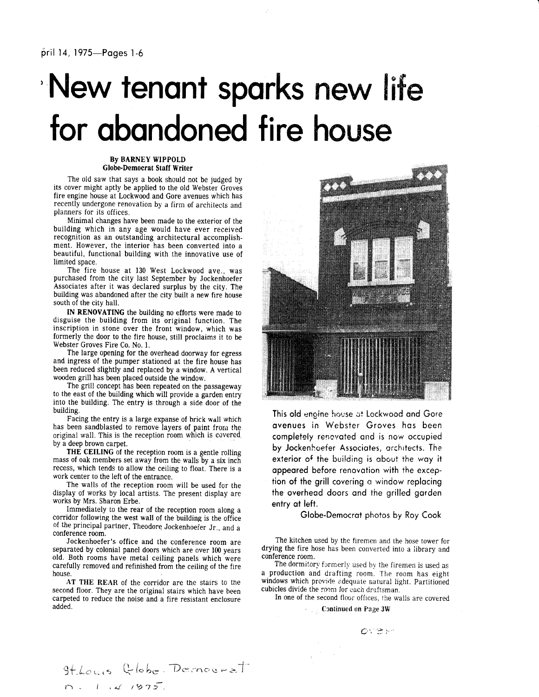## 'New tenant sparks new life for abandoned fire house

By BARNEY WIPPOLD Globe'Democrat Staff Writer

The old saw that says a book should not be judged by its cover might aptly be applied to the old Webster Groves fire engine house at Lockwood and Gore avenues which has recently undergone renovation by a firm of architects and planners for its offices.

Minimal changes have been made to the exterior of the building which in any age would have ever received recognition as an outstanding architectural accomplishment. However, the interior has been converted into a beautiful, functional building with the innovative use of limited space.

The fire house at 130 West Lockwood ave., was purchased from the city last September by Jockenhoefer Associates after it was declared surplus by the city. The building was abandoned after the city built a new fire house south of the city hall.

IN RENOVATING the building no efforts were made to disguise the building from its original function. The inscription in stone over the front window, which was formerly the door to the fire house, still proclaims it to be Webster Groves Fire Co. No. l.

The large opening for the overhead doorway for egress and ingress of the pumper stationed at the fire house has been reduced slightly and replaced by a window. A vertical wooden grill has been placed outside the window.

The grill concept has been repeated on the passageway to the east of the building which will provide a garden entry into the building. The entry is through a side door of the building.

Facing the entry is a large expanse of brick wall which has been sandblasted to remove layers of paint from the original wall. This is the reception room which is covered by a deep brown carpet.

THE CEILING of the reception room is a gentle rolling mass of oak members set away from the walls by a six inch recess, which tends to allow the ceiling to float. There is a work center t0 the left of the entrance.

The walls of the reception room will be used for the display of works by local artists. The present display are works by Mrs. Sharon Erbe.

Immediately to the rear of the reception room along a corridor following the west wall of the building is the office of the principal partner, Theodore Jockenhoefer Jr., and a conference room.

Jockenhoefer's office and the conference room are separated by colonial panel doors which are over 100 years old. Both rooms have metal ceiling panels which were carefully removed and refinished from the ceiling of the fire house.

AT THE REAR of the corridor are the stairs to the second floor. They are the original stairs which have been carpeted to reduce the noise and a fire resistant enclosure added.

 $D$ ernoera $\dagger$ 

 $9f.$ Louis  $Q$  lobe.

 $\cap$  .  $t$  ,  $\omega$  r9i



This old engine house cit Lockwood ond Gore ovenues in Webster Groves hos been completely renovated and is now occupied by Jockenhoefer Associotes, orchrtects. The exterior of the building is about the way it oppeored before renovotion with the exception of the grill covering a window replacing the overheod doors ond the grilled gorden entry ot left.

Globe-Democrot photos by Roy Cook

The kitchen used by the firemen and the hose tower for drying the fire hose has been converted into a iibrary and conference room.

The dormitory formerly used by the firemen is used as a production and drafting room. The room has eight windows which provide adequate natural light. Partitioned cubicles divide the room for each drafrsman.

In one of the second floor offices, the walls are covered

ove.

Continued on Page 3W